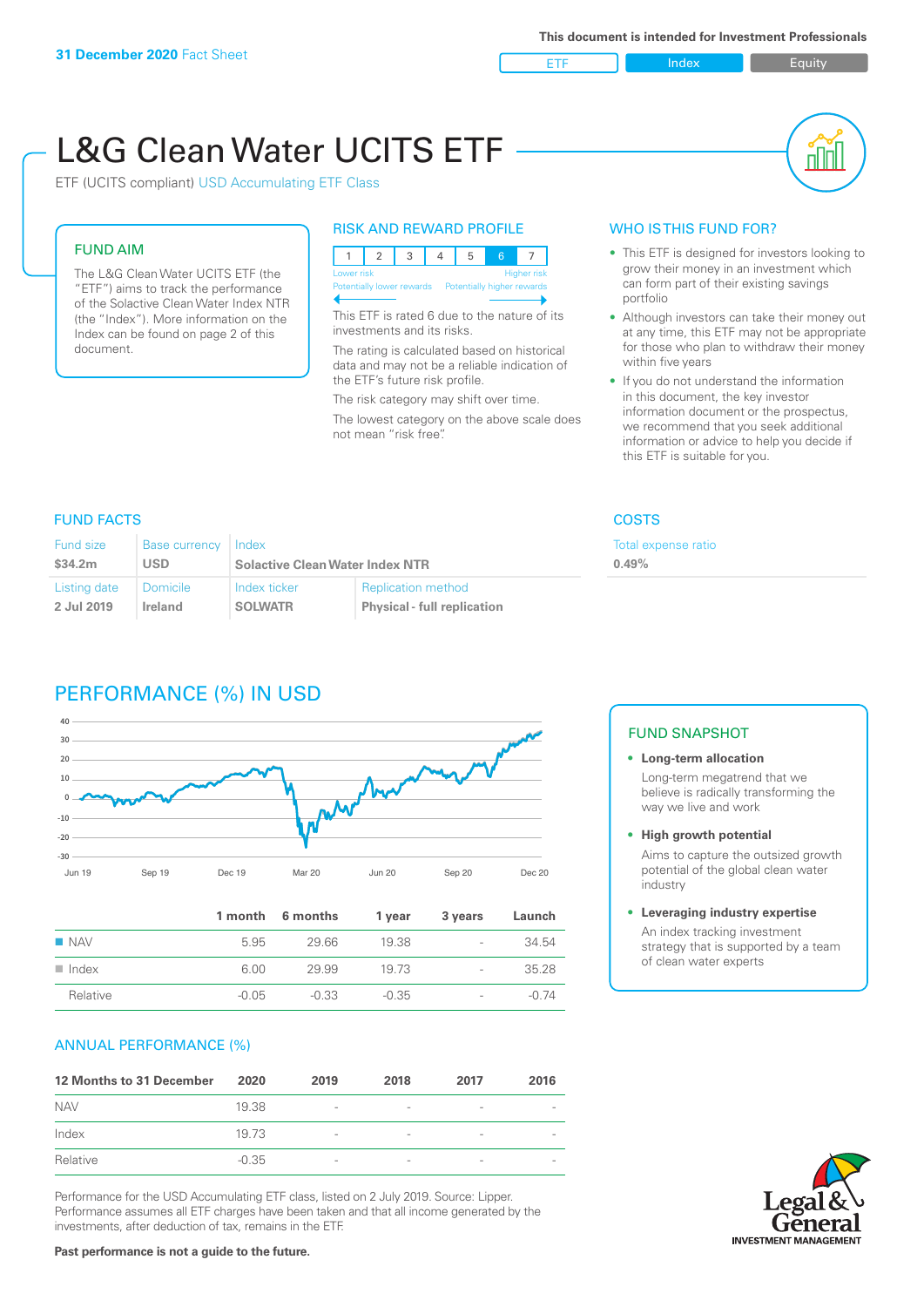**ETF** Index **Index** Equity

# L&G Clean Water UCITS ETF

ETF (UCITS compliant) USD Accumulating ETF Class

#### FUND AIM

The L&G Clean Water UCITS ETF (the "ETF") aims to track the performance of the Solactive Clean Water Index NTR (the "Index"). More information on the Index can be found on page 2 of this document.

#### RISK AND REWARD PROFILE



This ETF is rated 6 due to the nature of its investments and its risks.

The rating is calculated based on historical data and may not be a reliable indication of the ETF's future risk profile.

The risk category may shift over time. The lowest category on the above scale does not mean "risk free".

#### WHO IS THIS FUND FOR?

- This ETF is designed for investors looking to grow their money in an investment which can form part of their existing savings portfolio
- Although investors can take their money out at any time, this ETF may not be appropriate for those who plan to withdraw their money within five years
- If you do not understand the information in this document, the key investor information document or the prospectus, we recommend that you seek additional information or advice to help you decide if this ETF is suitable for you.

Total expense ratio

**0.49%**

#### FUND FACTS COSTS

| <b>Fund size</b> | <b>Base currency</b> | Index                                  |                                    |  |
|------------------|----------------------|----------------------------------------|------------------------------------|--|
| \$34.2m          | <b>USD</b>           | <b>Solactive Clean Water Index NTR</b> |                                    |  |
| Listing date     | Domicile             | Index ticker                           | <b>Replication method</b>          |  |
| 2 Jul 2019       | Ireland              | <b>SOLWATR</b>                         | <b>Physical - full replication</b> |  |

## PERFORMANCE (%) IN USD



|                      |         | 1 month 6 months | 1 year  | 3 years                  | Launch  |
|----------------------|---------|------------------|---------|--------------------------|---------|
| <b>NAV</b>           | 5.95    | 29.66            | 19.38   | $\overline{\phantom{a}}$ | 34 54   |
| $\blacksquare$ Index | 6.00    | 29.99            | 19 73   | $\overline{\phantom{0}}$ | 35.28   |
| Relative             | $-0.05$ | $-0.33$          | $-0.35$ | $\overline{\phantom{a}}$ | $-0.74$ |

#### ANNUAL PERFORMANCE (%)

| 12 Months to 31 December | 2020    | 2019                     | 2018                     | 2017                     | 2016                     |
|--------------------------|---------|--------------------------|--------------------------|--------------------------|--------------------------|
| <b>NAV</b>               | 19.38   | $\overline{\phantom{a}}$ | $\overline{\phantom{a}}$ | $\qquad \qquad$          |                          |
| Index                    | 19.73   | $\overline{\phantom{a}}$ |                          | -                        | $\overline{\phantom{a}}$ |
| Relative                 | $-0.35$ | $\overline{\phantom{a}}$ |                          | $\overline{\phantom{0}}$ |                          |

Performance for the USD Accumulating ETF class, listed on 2 July 2019. Source: Lipper. Performance assumes all ETF charges have been taken and that all income generated by the investments, after deduction of tax, remains in the ETF.

#### FUND SNAPSHOT

**• Long-term allocation** Long-term megatrend that we believe is radically transforming the way we live and work

**• High growth potential**

Aims to capture the outsized growth potential of the global clean water industry

#### **• Leveraging industry expertise**

An index tracking investment strategy that is supported by a team of clean water experts

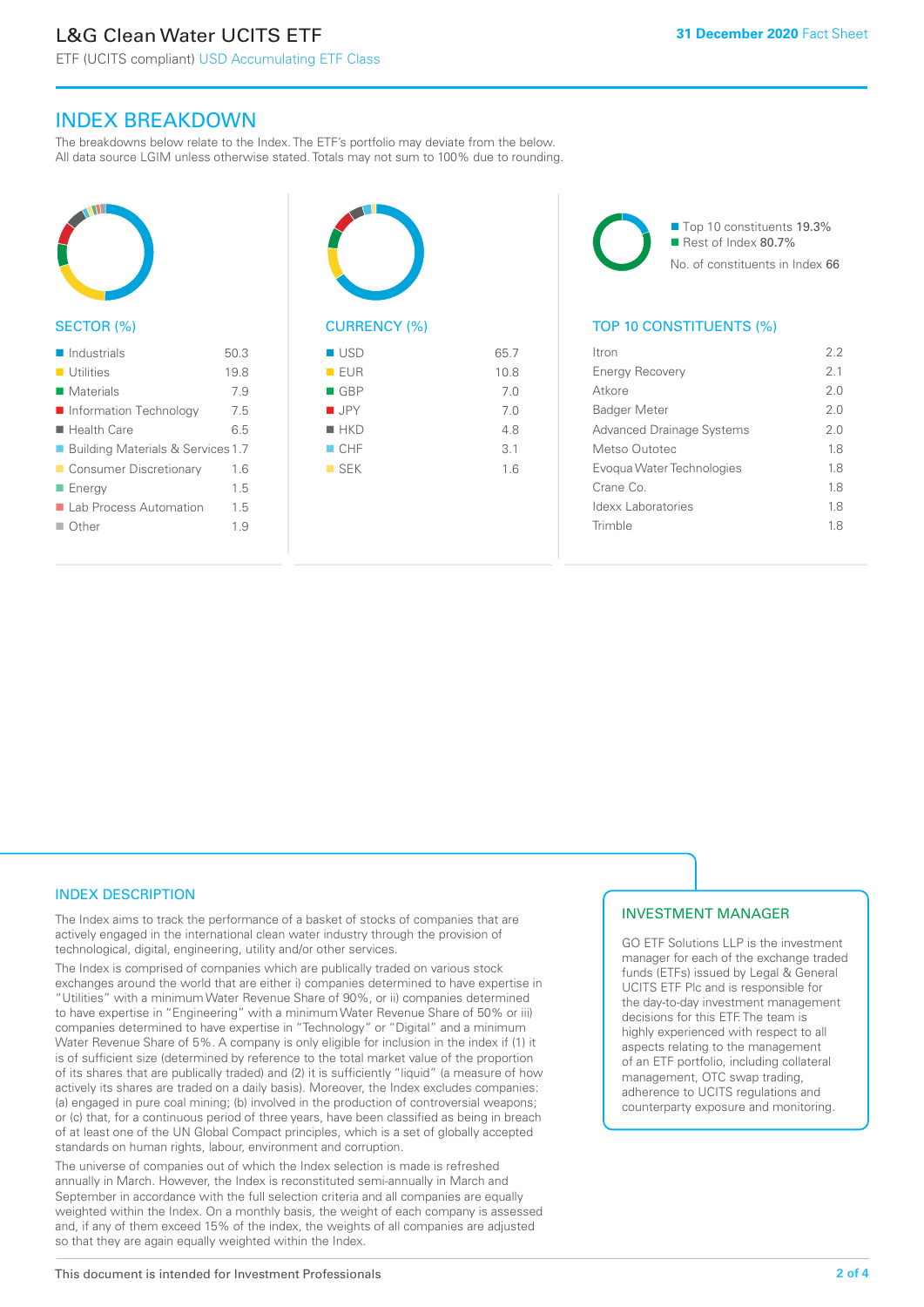ETF (UCITS compliant) USD Accumulating ETF Class

### INDEX BREAKDOWN

The breakdowns below relate to the Index. The ETF's portfolio may deviate from the below. All data source LGIM unless otherwise stated. Totals may not sum to 100% due to rounding.



#### SECTOR (%)

| $\blacksquare$ Industrials          | 50.3 |
|-------------------------------------|------|
| $\blacksquare$ Utilities            | 19.8 |
| ■ Materials                         | 7.9  |
| Information Technology              | 7.5  |
| $\blacksquare$ Health Care          | 6.5  |
| ■ Building Materials & Services 1.7 |      |
| Consumer Discretionary              | 1.6  |
| ■ Energy                            | 15   |
| ■ Lab Process Automation            | 1.5  |
| $\Box$ Other                        | 19   |
|                                     |      |



# $\blacksquare$  USD 65.7

| EUR                | 10.8 |
|--------------------|------|
| $\blacksquare$ GBP | 7.0  |
| $\blacksquare$ JPY | 7.0  |
| $H$ HKD            | 4.8  |
| $\Box$ CHF         | 3.1  |
| $\blacksquare$ SEK | 1.6  |
|                    |      |
|                    |      |

■ Top 10 constituents 19.3% Rest of Index 80.7% No. of constituents in Index 66

#### TOP 10 CONSTITUENTS (%)

| <b>Itron</b>                     | 22  |
|----------------------------------|-----|
| <b>Energy Recovery</b>           | 21  |
| Atkore                           | 20  |
| <b>Badger Meter</b>              | 20  |
| <b>Advanced Drainage Systems</b> | 2 O |
| Metso Outotec                    | 18  |
| Evogua Water Technologies        | 18  |
| Crane Co                         | 18  |
| Idexx Laboratories               | 18  |
| Trimble                          | 18  |
|                                  |     |

#### INDEX DESCRIPTION

The Index aims to track the performance of a basket of stocks of companies that are actively engaged in the international clean water industry through the provision of technological, digital, engineering, utility and/or other services.

The Index is comprised of companies which are publically traded on various stock exchanges around the world that are either i) companies determined to have expertise in "Utilities" with a minimum Water Revenue Share of 90%, or ii) companies determined to have expertise in "Engineering" with a minimum Water Revenue Share of 50% or iii) companies determined to have expertise in "Technology" or "Digital" and a minimum Water Revenue Share of 5%. A company is only eligible for inclusion in the index if (1) it is of sufficient size (determined by reference to the total market value of the proportion of its shares that are publically traded) and (2) it is sufficiently "liquid" (a measure of how actively its shares are traded on a daily basis). Moreover, the Index excludes companies: (a) engaged in pure coal mining; (b) involved in the production of controversial weapons; or (c) that, for a continuous period of three years, have been classified as being in breach of at least one of the UN Global Compact principles, which is a set of globally accepted standards on human rights, labour, environment and corruption.

The universe of companies out of which the Index selection is made is refreshed annually in March. However, the Index is reconstituted semi-annually in March and September in accordance with the full selection criteria and all companies are equally weighted within the Index. On a monthly basis, the weight of each company is assessed and, if any of them exceed 15% of the index, the weights of all companies are adjusted so that they are again equally weighted within the Index.

#### INVESTMENT MANAGER

GO ETF Solutions LLP is the investment manager for each of the exchange traded funds (ETFs) issued by Legal & General UCITS ETF Plc and is responsible for the day-to-day investment management decisions for this ETF. The team is highly experienced with respect to all aspects relating to the management of an ETF portfolio, including collateral management, OTC swap trading, adherence to UCITS regulations and counterparty exposure and monitoring.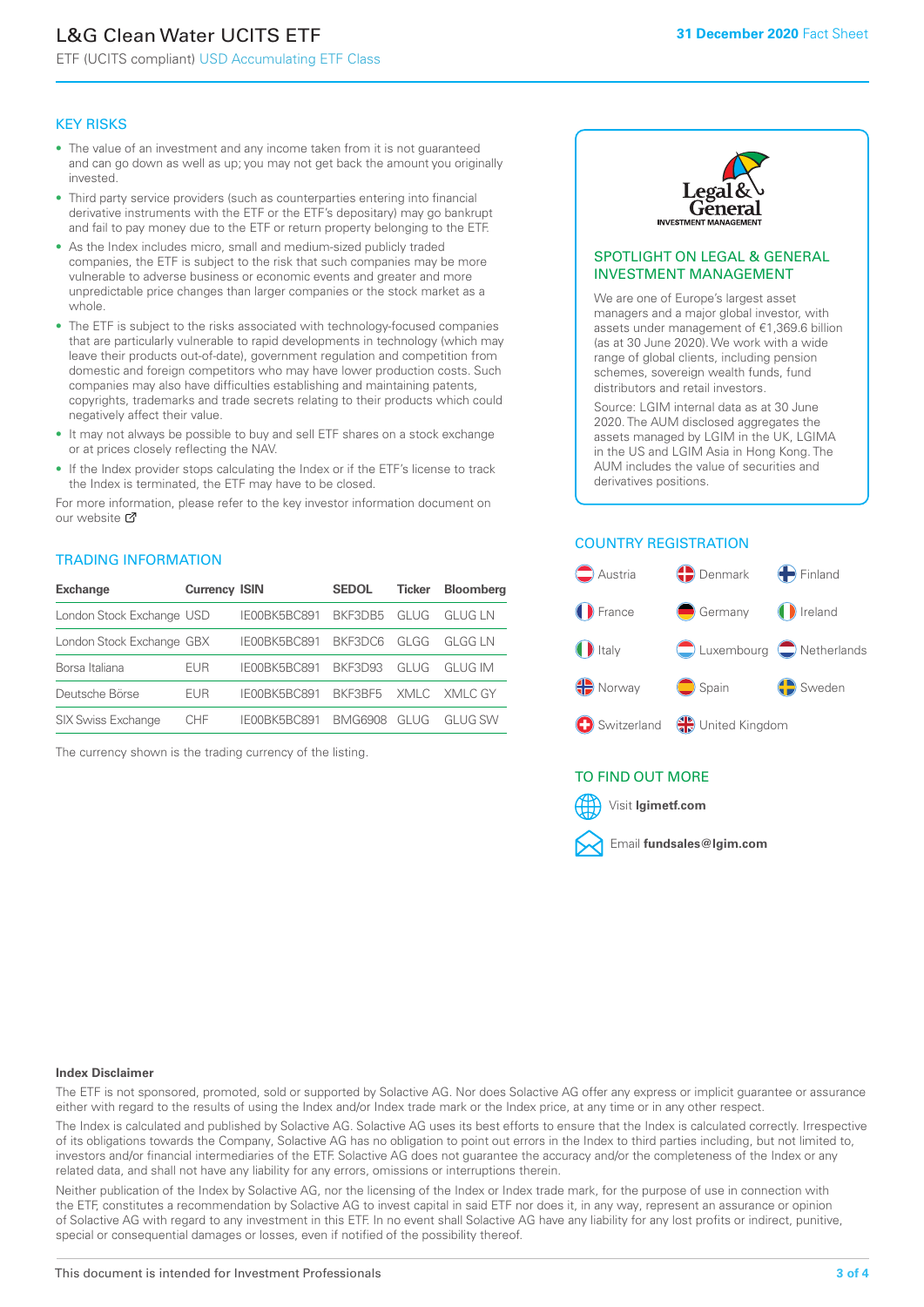# L&G Clean Water UCITS ETF

ETF (UCITS compliant) USD Accumulating ETF Class

#### KEY RISKS

- The value of an investment and any income taken from it is not guaranteed and can go down as well as up; you may not get back the amount you originally invested.
- Third party service providers (such as counterparties entering into financial derivative instruments with the ETF or the ETF's depositary) may go bankrupt and fail to pay money due to the ETF or return property belonging to the ETF.
- As the Index includes micro, small and medium-sized publicly traded companies, the ETF is subject to the risk that such companies may be more vulnerable to adverse business or economic events and greater and more unpredictable price changes than larger companies or the stock market as a whole.
- The ETF is subject to the risks associated with technology-focused companies that are particularly vulnerable to rapid developments in technology (which may leave their products out-of-date), government regulation and competition from domestic and foreign competitors who may have lower production costs. Such companies may also have difficulties establishing and maintaining patents, copyrights, trademarks and trade secrets relating to their products which could negatively affect their value.
- It may not always be possible to buy and sell ETF shares on a stock exchange or at prices closely reflecting the NAV.
- If the Index provider stops calculating the Index or if the ETF's license to track the Index is terminated, the ETF may have to be closed.

For more in[form](https://www.lgimetf.com/)ation, please refer to the key investor information document on our website Ø

#### TRADING INFORMATION

| <b>Exchange</b>           | <b>Currency ISIN</b> |              | <b>SEDOL</b>   | <b>Ticker</b> | <b>Bloomberg</b> |
|---------------------------|----------------------|--------------|----------------|---------------|------------------|
| London Stock Exchange USD |                      | IE00BK5BC891 | BKE3DB5        | GLUG          | <b>GLUG LN</b>   |
| London Stock Exchange GBX |                      | IE00BK5BC891 | BKF3DC6        | GLGG          | GLGG LN          |
| Borsa Italiana            | EUR                  | IE00BK5BC891 | <b>BKE3D93</b> | GLUG          | GI UG IM         |
| Deutsche Börse            | EUR                  | IE00BK5BC891 | BKE3BE5        |               | XMLC XMLC GY     |
| <b>SIX Swiss Exchange</b> | CHE                  | IF00BK5BC891 | <b>BMG6908</b> | GI UG         | GI UG SW         |

The currency shown is the trading currency of the listing.



#### SPOTLIGHT ON LEGAL & GENERAL INVESTMENT MANAGEMENT

We are one of Europe's largest asset managers and a major global investor, with assets under management of €1,369.6 billion (as at 30 June 2020). We work with a wide range of global clients, including pension schemes, sovereign wealth funds, fund distributors and retail investors.

Source: LGIM internal data as at 30 June 2020. The AUM disclosed aggregates the assets managed by LGIM in the UK, LGIMA in the US and LGIM Asia in Hong Kong. The AUM includes the value of securities and derivatives positions.

#### COUNTRY REGISTRATION



#### TO FIND OUT MORE



#### **Index Disclaimer**

The ETF is not sponsored, promoted, sold or supported by Solactive AG. Nor does Solactive AG offer any express or implicit guarantee or assurance either with regard to the results of using the Index and/or Index trade mark or the Index price, at any time or in any other respect.

The Index is calculated and published by Solactive AG. Solactive AG uses its best efforts to ensure that the Index is calculated correctly. Irrespective of its obligations towards the Company, Solactive AG has no obligation to point out errors in the Index to third parties including, but not limited to, investors and/or financial intermediaries of the ETF. Solactive AG does not guarantee the accuracy and/or the completeness of the Index or any related data, and shall not have any liability for any errors, omissions or interruptions therein.

Neither publication of the Index by Solactive AG, nor the licensing of the Index or Index trade mark, for the purpose of use in connection with the ETF, constitutes a recommendation by Solactive AG to invest capital in said ETF nor does it, in any way, represent an assurance or opinion of Solactive AG with regard to any investment in this ETF. In no event shall Solactive AG have any liability for any lost profits or indirect, punitive, special or consequential damages or losses, even if notified of the possibility thereof.